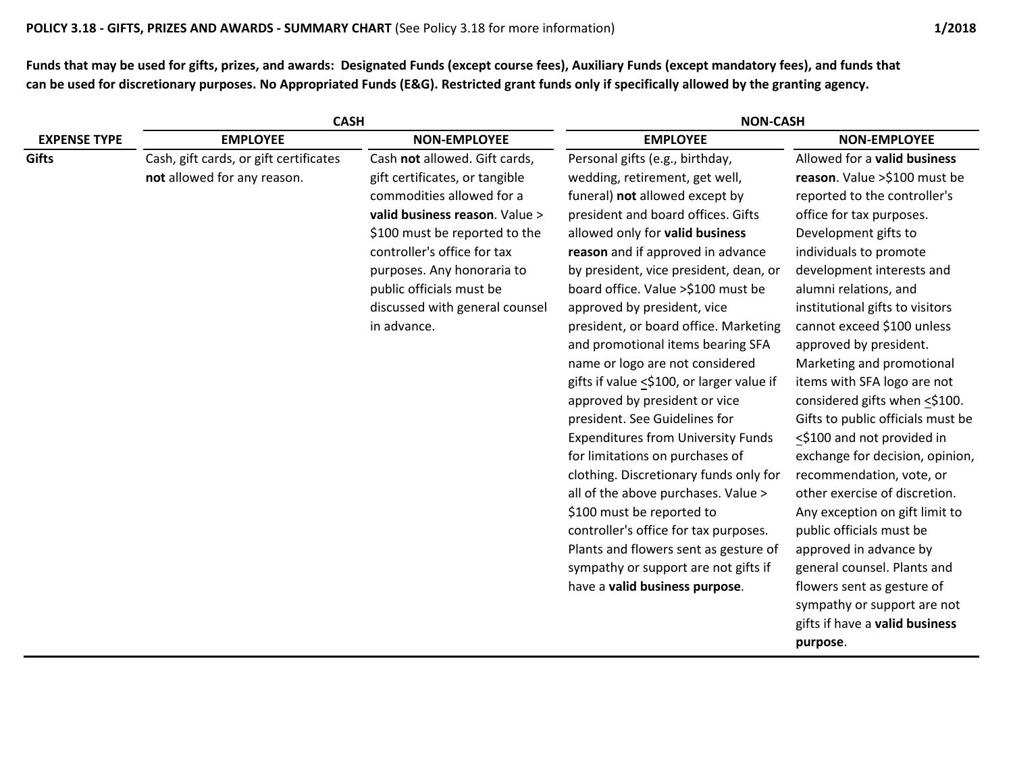**Funds that may be used for gifts, prizes, and awards: Designated Funds (except course fees), Auxiliary Funds (except mandatory fees), and funds that can be used for discretionary purposes. No Appropriated Funds (E&G). Restricted grant funds only if specifically allowed by the granting agency.**